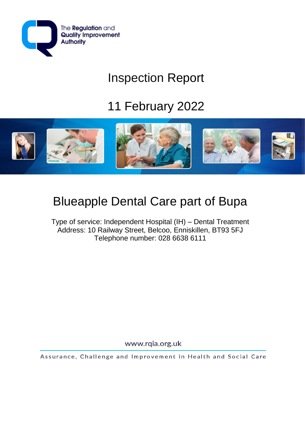

# Inspection Report

# 11 February 2022



## Blueapple Dental Care part of Bupa

Type of service: Independent Hospital (IH) – Dental Treatment Address: 10 Railway Street, Belcoo, Enniskillen, BT93 5FJ Telephone number: 028 6638 6111

www.rqia.org.uk

Assurance, Challenge and Improvement in Health and Social Care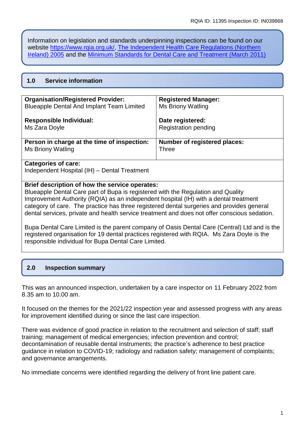Information on legislation and standards underpinning inspections can be found on our website [https://www.rqia.org.uk/,](https://www.rqia.org.uk/) [The Independent Health Care Regulations \(Northern](https://www.legislation.gov.uk/nisr/2005/174/pdfs/nisr_20050174_en.pdf)  [Ireland\) 2005](https://www.legislation.gov.uk/nisr/2005/174/pdfs/nisr_20050174_en.pdf) and the [Minimum Standards for Dental Care and Treatment \(March 2011\)](https://www.legislation.gov.uk/nisr/2005/174/pdfs/nisr_20050174_en.pdf)

## **1.0 Service information**

| <b>Organisation/Registered Provider:</b>         | <b>Registered Manager:</b>          |
|--------------------------------------------------|-------------------------------------|
| <b>Blueapple Dental And Implant Team Limited</b> | Ms Briony Watling                   |
| <b>Responsible Individual:</b>                   | Date registered:                    |
| Ms Zara Doyle                                    | <b>Registration pending</b>         |
| Person in charge at the time of inspection:      | <b>Number of registered places:</b> |
| Ms Briony Watling                                | <b>Three</b>                        |

#### **Categories of care:**

Independent Hospital (IH) – Dental Treatment

#### **Brief description of how the service operates:**

Blueapple Dental Care part of Bupa is registered with the Regulation and Quality Improvement Authority (RQIA) as an independent hospital (IH) with a dental treatment category of care. The practice has three registered dental surgeries and provides general dental services, private and health service treatment and does not offer conscious sedation.

Bupa Dental Care Limited is the parent company of Oasis Dental Care (Central) Ltd and is the registered organisation for 19 dental practices registered with RQIA. Ms Zara Doyle is the responsible individual for Bupa Dental Care Limited.

## **2.0 Inspection summary**

This was an announced inspection, undertaken by a care inspector on 11 February 2022 from 8.35 am to 10.00 am.

It focused on the themes for the 2021/22 inspection year and assessed progress with any areas for improvement identified during or since the last care inspection.

There was evidence of good practice in relation to the recruitment and selection of staff; staff training; management of medical emergencies; infection prevention and control; decontamination of reusable dental instruments; the practice's adherence to best practice guidance in relation to COVID-19; radiology and radiation safety; management of complaints; and governance arrangements.

No immediate concerns were identified regarding the delivery of front line patient care.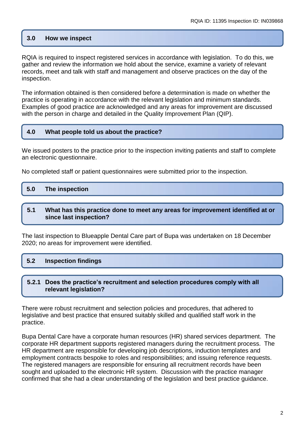#### **3.0 How we inspect**

RQIA is required to inspect registered services in accordance with legislation. To do this, we gather and review the information we hold about the service, examine a variety of relevant records, meet and talk with staff and management and observe practices on the day of the inspection.

The information obtained is then considered before a determination is made on whether the practice is operating in accordance with the relevant legislation and minimum standards. Examples of good practice are acknowledged and any areas for improvement are discussed with the person in charge and detailed in the Quality Improvement Plan (QIP).

#### **4.0 What people told us about the practice?**

We issued posters to the practice prior to the inspection inviting patients and staff to complete an electronic questionnaire.

No completed staff or patient questionnaires were submitted prior to the inspection.

| 5.0 | The inspection |
|-----|----------------|
|     |                |

#### **5.1 What has this practice done to meet any areas for improvement identified at or since last inspection?**

The last inspection to Blueapple Dental Care part of Bupa was undertaken on 18 December 2020; no areas for improvement were identified.

## **5.2 Inspection findings**

#### **5.2.1 Does the practice's recruitment and selection procedures comply with all relevant legislation?**

There were robust recruitment and selection policies and procedures, that adhered to legislative and best practice that ensured suitably skilled and qualified staff work in the practice.

Bupa Dental Care have a corporate human resources (HR) shared services department. The corporate HR department supports registered managers during the recruitment process. The HR department are responsible for developing job descriptions, induction templates and employment contracts bespoke to roles and responsibilities; and issuing reference requests. The registered managers are responsible for ensuring all recruitment records have been sought and uploaded to the electronic HR system. Discussion with the practice manager confirmed that she had a clear understanding of the legislation and best practice guidance.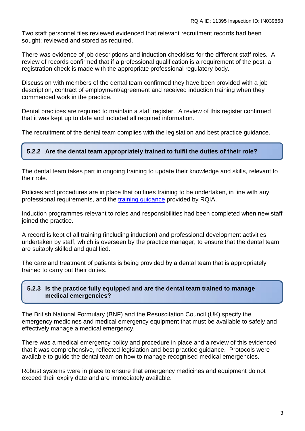Two staff personnel files reviewed evidenced that relevant recruitment records had been sought; reviewed and stored as required.

There was evidence of job descriptions and induction checklists for the different staff roles. A review of records confirmed that if a professional qualification is a requirement of the post, a registration check is made with the appropriate professional regulatory body.

Discussion with members of the dental team confirmed they have been provided with a job description, contract of employment/agreement and received induction training when they commenced work in the practice.

Dental practices are required to maintain a staff register. A review of this register confirmed that it was kept up to date and included all required information.

The recruitment of the dental team complies with the legislation and best practice guidance.

## **5.2.2 Are the dental team appropriately trained to fulfil the duties of their role?**

The dental team takes part in ongoing training to update their knowledge and skills, relevant to their role.

Policies and procedures are in place that outlines training to be undertaken, in line with any professional requirements, and the [training guidance](https://www.rqia.org.uk/RQIA/files/7d/7d23bae2-9a0d-4287-bf56-10acef517f00.pdf) provided by RQIA.

Induction programmes relevant to roles and responsibilities had been completed when new staff joined the practice.

A record is kept of all training (including induction) and professional development activities undertaken by staff, which is overseen by the practice manager, to ensure that the dental team are suitably skilled and qualified.

The care and treatment of patients is being provided by a dental team that is appropriately trained to carry out their duties.

## **5.2.3 Is the practice fully equipped and are the dental team trained to manage medical emergencies?**

The British National Formulary (BNF) and the Resuscitation Council (UK) specify the emergency medicines and medical emergency equipment that must be available to safely and effectively manage a medical emergency.

There was a medical emergency policy and procedure in place and a review of this evidenced that it was comprehensive, reflected legislation and best practice guidance. Protocols were available to guide the dental team on how to manage recognised medical emergencies.

Robust systems were in place to ensure that emergency medicines and equipment do not exceed their expiry date and are immediately available.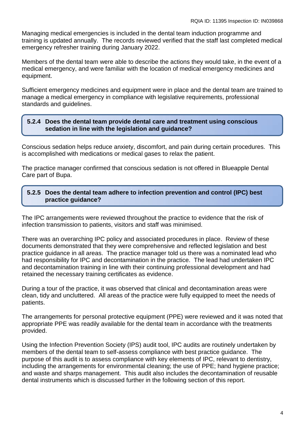Managing medical emergencies is included in the dental team induction programme and training is updated annually. The records reviewed verified that the staff last completed medical emergency refresher training during January 2022.

Members of the dental team were able to describe the actions they would take, in the event of a medical emergency, and were familiar with the location of medical emergency medicines and equipment.

Sufficient emergency medicines and equipment were in place and the dental team are trained to manage a medical emergency in compliance with legislative requirements, professional standards and guidelines.

## **5.2.4 Does the dental team provide dental care and treatment using conscious sedation in line with the legislation and guidance?**

Conscious sedation helps reduce anxiety, discomfort, and pain during certain procedures. This is accomplished with medications or medical gases to relax the patient.

The practice manager confirmed that conscious sedation is not offered in Blueapple Dental Care part of Bupa.

## **5.2.5 Does the dental team adhere to infection prevention and control (IPC) best practice guidance?**

The IPC arrangements were reviewed throughout the practice to evidence that the risk of infection transmission to patients, visitors and staff was minimised.

**Inspection findings**

There was an overarching IPC policy and associated procedures in place. Review of these documents demonstrated that they were comprehensive and reflected legislation and best practice guidance in all areas. The practice manager told us there was a nominated lead who had responsibility for IPC and decontamination in the practice. The lead had undertaken IPC and decontamination training in line with their continuing professional development and had retained the necessary training certificates as evidence.

During a tour of the practice, it was observed that clinical and decontamination areas were clean, tidy and uncluttered. All areas of the practice were fully equipped to meet the needs of patients.

The arrangements for personal protective equipment (PPE) were reviewed and it was noted that appropriate PPE was readily available for the dental team in accordance with the treatments provided.

Using the Infection Prevention Society (IPS) audit tool, IPC audits are routinely undertaken by members of the dental team to self-assess compliance with best practice guidance. The purpose of this audit is to assess compliance with key elements of IPC, relevant to dentistry, including the arrangements for environmental cleaning; the use of PPE; hand hygiene practice; and waste and sharps management. This audit also includes the decontamination of reusable dental instruments which is discussed further in the following section of this report.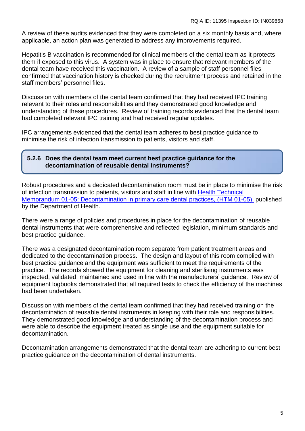A review of these audits evidenced that they were completed on a six monthly basis and, where applicable, an action plan was generated to address any improvements required.

Hepatitis B vaccination is recommended for clinical members of the dental team as it protects them if exposed to this virus. A system was in place to ensure that relevant members of the dental team have received this vaccination. A review of a sample of staff personnel files confirmed that vaccination history is checked during the recruitment process and retained in the staff members' personnel files.

Discussion with members of the dental team confirmed that they had received IPC training relevant to their roles and responsibilities and they demonstrated good knowledge and understanding of these procedures. Review of training records evidenced that the dental team had completed relevant IPC training and had received regular updates.

IPC arrangements evidenced that the dental team adheres to best practice guidance to minimise the risk of infection transmission to patients, visitors and staff.

## **5.2.6 Does the dental team meet current best practice guidance for the decontamination of reusable dental instruments?**

Robust procedures and a dedicated decontamination room must be in place to minimise the risk of infection transmission to patients, visitors and staff in line with [Health Technical](https://www.rqia.org.uk/RQIA/files/3f/3fcafc64-d793-4dc6-bb40-f1152a33297b.pdf)  [Memorandum 01-05: Decontamination in primary care dental practices, \(HTM 01-05\),](https://www.rqia.org.uk/RQIA/files/3f/3fcafc64-d793-4dc6-bb40-f1152a33297b.pdf) published by the Department of Health.

There were a range of policies and procedures in place for the decontamination of reusable dental instruments that were comprehensive and reflected legislation, minimum standards and best practice guidance.

There was a designated decontamination room separate from patient treatment areas and dedicated to the decontamination process. The design and layout of this room complied with best practice guidance and the equipment was sufficient to meet the requirements of the practice. The records showed the equipment for cleaning and sterilising instruments was inspected, validated, maintained and used in line with the manufacturers' guidance. Review of equipment logbooks demonstrated that all required tests to check the efficiency of the machines had been undertaken.

Discussion with members of the dental team confirmed that they had received training on the decontamination of reusable dental instruments in keeping with their role and responsibilities. They demonstrated good knowledge and understanding of the decontamination process and were able to describe the equipment treated as single use and the equipment suitable for decontamination.

Decontamination arrangements demonstrated that the dental team are adhering to current best practice guidance on the decontamination of dental instruments.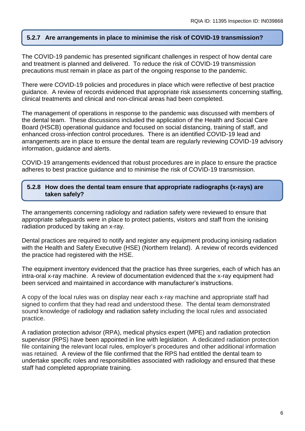## **5.2.7 Are arrangements in place to minimise the risk of COVID-19 transmission?**

The COVID-19 pandemic has presented significant challenges in respect of how dental care and treatment is planned and delivered. To reduce the risk of COVID-19 transmission precautions must remain in place as part of the ongoing response to the pandemic.

There were COVID-19 policies and procedures in place which were reflective of best practice guidance. A review of records evidenced that appropriate risk assessments concerning staffing, clinical treatments and clinical and non-clinical areas had been completed.

The management of operations in response to the pandemic was discussed with members of the dental team. These discussions included the application of the Health and Social Care Board (HSCB) operational guidance and focused on social distancing, training of staff, and enhanced cross-infection control procedures. There is an identified COVID-19 lead and arrangements are in place to ensure the dental team are regularly reviewing COVID-19 advisory information, guidance and alerts.

COVID-19 arrangements evidenced that robust procedures are in place to ensure the practice adheres to best practice guidance and to minimise the risk of COVID-19 transmission.

#### **5.2.8 How does the dental team ensure that appropriate radiographs (x-rays) are taken safely?**

The arrangements concerning radiology and radiation safety were reviewed to ensure that appropriate safeguards were in place to protect patients, visitors and staff from the ionising radiation produced by taking an x-ray.

Dental practices are required to notify and register any equipment producing ionising radiation with the Health and Safety Executive (HSE) (Northern Ireland). A review of records evidenced the practice had registered with the HSE.

The equipment inventory evidenced that the practice has three surgeries, each of which has an intra-oral x-ray machine. A review of documentation evidenced that the x-ray equipment had been serviced and maintained in accordance with manufacturer's instructions.

A copy of the local rules was on display near each x-ray machine and appropriate staff had signed to confirm that they had read and understood these. The dental team demonstrated sound knowledge of radiology and radiation safety including the local rules and associated practice.

A radiation protection advisor (RPA), medical physics expert (MPE) and radiation protection supervisor (RPS) have been appointed in line with legislation. A dedicated radiation protection file containing the relevant local rules, employer's procedures and other additional information was retained. A review of the file confirmed that the RPS had entitled the dental team to undertake specific roles and responsibilities associated with radiology and ensured that these staff had completed appropriate training.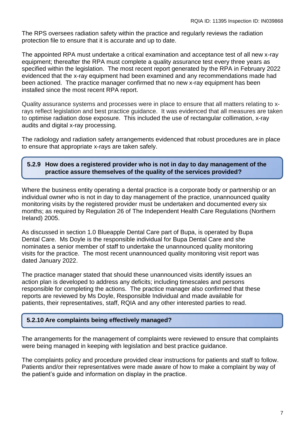The RPS oversees radiation safety within the practice and regularly reviews the radiation protection file to ensure that it is accurate and up to date.

The appointed RPA must undertake a critical examination and acceptance test of all new x-ray equipment; thereafter the RPA must complete a quality assurance test every three years as specified within the legislation. The most recent report generated by the RPA in February 2022 evidenced that the x-ray equipment had been examined and any recommendations made had been actioned. The practice manager confirmed that no new x-ray equipment has been installed since the most recent RPA report.

Quality assurance systems and processes were in place to ensure that all matters relating to xrays reflect legislation and best practice guidance. It was evidenced that all measures are taken to optimise radiation dose exposure. This included the use of rectangular collimation, x-ray audits and digital x-ray processing.

The radiology and radiation safety arrangements evidenced that robust procedures are in place to ensure that appropriate x-rays are taken safely.

## **5.2.9 How does a registered provider who is not in day to day management of the practice assure themselves of the quality of the services provided?**

Where the business entity operating a dental practice is a corporate body or partnership or an individual owner who is not in day to day management of the practice, unannounced quality monitoring visits by the registered provider must be undertaken and documented every six months; as required by Regulation 26 of The Independent Health Care Regulations (Northern Ireland) 2005.

As discussed in section 1.0 Blueapple Dental Care part of Bupa, is operated by Bupa Dental Care. Ms Doyle is the responsible individual for Bupa Dental Care and she nominates a senior member of staff to undertake the unannounced quality monitoring visits for the practice. The most recent unannounced quality monitoring visit report was dated January 2022.

The practice manager stated that should these unannounced visits identify issues an action plan is developed to address any deficits; including timescales and persons responsible for completing the actions. The practice manager also confirmed that these reports are reviewed by Ms Doyle, Responsible Individual and made available for patients, their representatives, staff, RQIA and any other interested parties to read.

## **5.2.10 Are complaints being effectively managed?**

The arrangements for the management of complaints were reviewed to ensure that complaints were being managed in keeping with legislation and best practice guidance.

The complaints policy and procedure provided clear instructions for patients and staff to follow. Patients and/or their representatives were made aware of how to make a complaint by way of the patient's guide and information on display in the practice.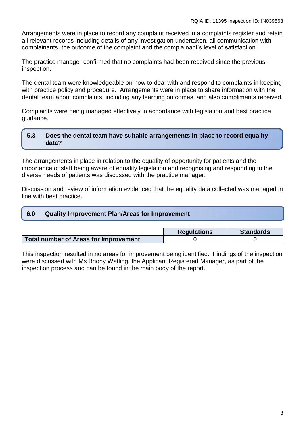Arrangements were in place to record any complaint received in a complaints register and retain all relevant records including details of any investigation undertaken, all communication with complainants, the outcome of the complaint and the complainant's level of satisfaction.

The practice manager confirmed that no complaints had been received since the previous inspection.

The dental team were knowledgeable on how to deal with and respond to complaints in keeping with practice policy and procedure. Arrangements were in place to share information with the dental team about complaints, including any learning outcomes, and also compliments received.

Complaints were being managed effectively in accordance with legislation and best practice guidance.

## **5.3 Does the dental team have suitable arrangements in place to record equality data?**

The arrangements in place in relation to the equality of opportunity for patients and the importance of staff being aware of equality legislation and recognising and responding to the diverse needs of patients was discussed with the practice manager.

Discussion and review of information evidenced that the equality data collected was managed in line with best practice.

|--|

|                                       | <b>Regulations</b> | <b>Standards</b> |
|---------------------------------------|--------------------|------------------|
| Total number of Areas for Improvement |                    |                  |

This inspection resulted in no areas for improvement being identified. Findings of the inspection were discussed with Ms Briony Watling, the Applicant Registered Manager, as part of the inspection process and can be found in the main body of the report.